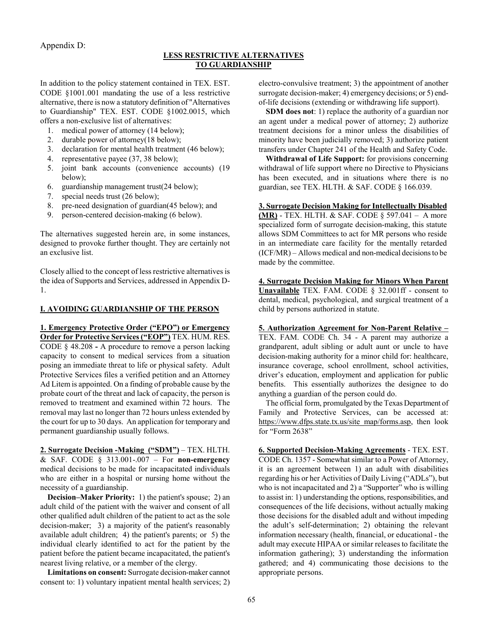Appendix D:

## **LESS RESTRICTIVE ALTERNATIVES TO GUARDIANSHIP**

In addition to the policy statement contained in TEX. EST. CODE §1001.001 mandating the use of a less restrictive alternative, there is now a statutory definition of "Alternatives to Guardianship" TEX. EST. CODE §1002.0015, which offers a non-exclusive list of alternatives:

- 1. medical power of attorney (14 below);
- 2. durable power of attorney(18 below);
- 3. declaration for mental health treatment (46 below);
- 4. representative payee (37, 38 below);
- 5. joint bank accounts (convenience accounts) (19 below);
- 6. guardianship management trust(24 below);
- 7. special needs trust (26 below);
- 8. pre-need designation of guardian(45 below); and
- 9. person-centered decision-making (6 below).

The alternatives suggested herein are, in some instances, designed to provoke further thought. They are certainly not an exclusive list.

Closely allied to the concept of less restrictive alternatives is the idea of Supports and Services, addressed in Appendix D-1.

## **I. AVOIDING GUARDIANSHIP OF THE PERSON**

**1. Emergency Protective Order ("EPO") or Emergency Order for Protective Services ("EOP")** TEX. HUM. RES. CODE § 48.208 **-** A procedure to remove a person lacking capacity to consent to medical services from a situation posing an immediate threat to life or physical safety. Adult Protective Services files a verified petition and an Attorney Ad Litem is appointed. On a finding of probable cause by the probate court of the threat and lack of capacity, the person is removed to treatment and examined within 72 hours. The removal may last no longer than 72 hours unless extended by the court for up to 30 days. An application for temporary and permanent guardianship usually follows.

**2. Surrogate Decision -Making ("SDM")** – TEX. HLTH. & SAF. CODE § 313.001-.007 – For **non-emergency** medical decisions to be made for incapacitated individuals who are either in a hospital or nursing home without the necessity of a guardianship.

**Decision–Maker Priority:** 1) the patient's spouse; 2) an adult child of the patient with the waiver and consent of all other qualified adult children of the patient to act as the sole decision-maker; 3) a majority of the patient's reasonably available adult children; 4) the patient's parents; or 5) the individual clearly identified to act for the patient by the patient before the patient became incapacitated, the patient's nearest living relative, or a member of the clergy.

**Limitations on consent:** Surrogate decision-maker cannot consent to: 1) voluntary inpatient mental health services; 2) electro-convulsive treatment; 3) the appointment of another surrogate decision-maker; 4) emergency decisions; or 5) endof-life decisions (extending or withdrawing life support).

**SDM does not**: 1) replace the authority of a guardian nor an agent under a medical power of attorney; 2) authorize treatment decisions for a minor unless the disabilities of minority have been judicially removed; 3) authorize patient transfers under Chapter 241 of the Health and Safety Code.

**Withdrawal of Life Support:** for provisions concerning withdrawal of life support where no Directive to Physicians has been executed, and in situations where there is no guardian, see TEX. HLTH. & SAF. CODE § 166.039.

**3. Surrogate Decision Making for Intellectually Disabled (MR)** - TEX. HLTH. & SAF. CODE § 597.041 – A more specialized form of surrogate decision-making, this statute allows SDM Committees to act for MR persons who reside in an intermediate care facility for the mentally retarded (ICF/MR) – Allows medical and non-medical decisions to be made by the committee.

**4. Surrogate Decision Making for Minors When Parent Unavailable** TEX. FAM. CODE § 32.001ff - consent to dental, medical, psychological, and surgical treatment of a child by persons authorized in statute.

**5. Authorization Agreement for Non-Parent Relative –**  TEX. FAM. CODE Ch. 34 - A parent may authorize a grandparent, adult sibling or adult aunt or uncle to have decision-making authority for a minor child for: healthcare, insurance coverage, school enrollment, school activities, driver's education, employment and application for public benefits. This essentially authorizes the designee to do anything a guardian of the person could do.

The official form, promulgated by the Texas Department of Family and Protective Services, can be accessed at: https://www.dfps.state.tx.us/site\_map/forms.asp, then look for "Form 2638"

**6. Supported Decision-Making Agreements** - TEX. EST. CODE Ch. 1357 - Somewhat similar to a Power of Attorney, it is an agreement between 1) an adult with disabilities regarding his or her Activities of Daily Living ("ADLs"), but who is not incapacitated and 2) a "Supporter" who is willing to assist in: 1) understanding the options, responsibilities, and consequences of the life decisions, without actually making those decisions for the disabled adult and without impeding the adult's self-determination; 2) obtaining the relevant information necessary (health, financial, or educational - the adult may execute HIPAA or similar releases to facilitate the information gathering); 3) understanding the information gathered; and 4) communicating those decisions to the appropriate persons.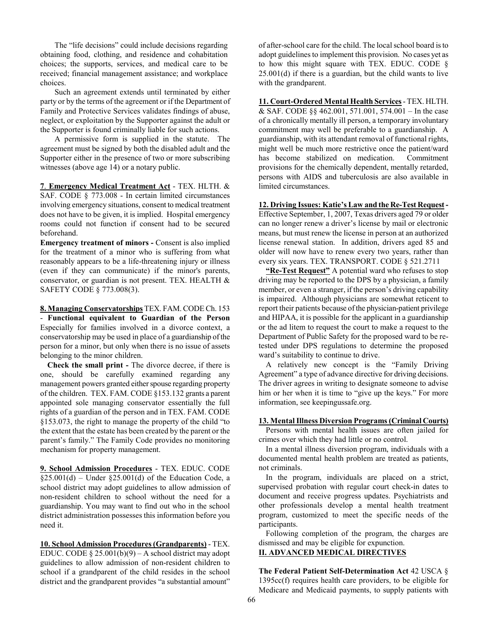The "life decisions" could include decisions regarding obtaining food, clothing, and residence and cohabitation choices; the supports, services, and medical care to be received; financial management assistance; and workplace choices.

Such an agreement extends until terminated by either party or by the terms of the agreement or if the Department of Family and Protective Services validates findings of abuse, neglect, or exploitation by the Supporter against the adult or the Supporter is found criminally liable for such actions.

A permissive form is supplied in the statute. The agreement must be signed by both the disabled adult and the Supporter either in the presence of two or more subscribing witnesses (above age 14) or a notary public.

**7**. **Emergency Medical Treatment Act** - TEX. HLTH. & SAF. CODE § 773.008 - In certain limited circumstances involving emergency situations, consent to medical treatment does not have to be given, it is implied. Hospital emergency rooms could not function if consent had to be secured beforehand.

**Emergency treatment of minors -** Consent is also implied for the treatment of a minor who is suffering from what reasonably appears to be a life-threatening injury or illness (even if they can communicate) if the minor's parents, conservator, or guardian is not present. TEX. HEALTH & SAFETY CODE § 773.008(3).

**8. Managing Conservatorships** TEX. FAM. CODE Ch. 153 - **Functional equivalent to Guardian of the Person** Especially for families involved in a divorce context, a conservatorship may be used in place of a guardianship of the person for a minor, but only when there is no issue of assets belonging to the minor children.

**Check the small print -** The divorce decree, if there is one, should be carefully examined regarding any management powers granted either spouse regarding property of the children. TEX. FAM. CODE §153.132 grants a parent appointed sole managing conservator essentially the full rights of a guardian of the person and in TEX. FAM. CODE §153.073, the right to manage the property of the child "to the extent that the estate has been created by the parent or the parent's family." The Family Code provides no monitoring mechanism for property management.

**9. School Admission Procedures** - TEX. EDUC. CODE  $§25.001(d)$  – Under  $§25.001(d)$  of the Education Code, a school district may adopt guidelines to allow admission of non-resident children to school without the need for a guardianship. You may want to find out who in the school district administration possesses this information before you need it.

**10. School Admission Procedures (Grandparents)** - TEX. EDUC. CODE § 25.001(b)(9) – A school district may adopt guidelines to allow admission of non-resident children to school if a grandparent of the child resides in the school district and the grandparent provides "a substantial amount"

of after-school care for the child. The local school board is to adopt guidelines to implement this provision. No cases yet as to how this might square with TEX. EDUC. CODE § 25.001(d) if there is a guardian, but the child wants to live with the grandparent.

**11. Court-Ordered Mental Health Services** - TEX. HLTH. & SAF. CODE  $\&$  462.001, 571.001, 574.001 – In the case of a chronically mentally ill person, a temporary involuntary commitment may well be preferable to a guardianship. A guardianship, with its attendant removal of functional rights, might well be much more restrictive once the patient/ward has become stabilized on medication. Commitment provisions for the chemically dependent, mentally retarded, persons with AIDS and tuberculosis are also available in limited circumstances.

**12. Driving Issues: Katie's Law and the Re-Test Request -**  Effective September, 1, 2007, Texas drivers aged 79 or older can no longer renew a driver's license by mail or electronic means, but must renew the license in person at an authorized license renewal station. In addition, drivers aged 85 and older will now have to renew every two years, rather than every six years. TEX. TRANSPORT. CODE § 521.2711

**"Re-Test Request"** A potential ward who refuses to stop driving may be reported to the DPS by a physician, a family member, or even a stranger, if the person's driving capability is impaired. Although physicians are somewhat reticent to report their patients because of the physician-patient privilege and HIPAA, it is possible for the applicant in a guardianship or the ad litem to request the court to make a request to the Department of Public Safety for the proposed ward to be retested under DPS regulations to determine the proposed ward's suitability to continue to drive.

A relatively new concept is the "Family Driving Agreement" a type of advance directive for driving decisions. The driver agrees in writing to designate someone to advise him or her when it is time to "give up the keys." For more information, see keepingussafe.org.

# **13. Mental Illness Diversion Programs (Criminal Courts)**

Persons with mental health issues are often jailed for crimes over which they had little or no control.

In a mental illness diversion program, individuals with a documented mental health problem are treated as patients, not criminals.

In the program, individuals are placed on a strict, supervised probation with regular court check-in dates to document and receive progress updates. Psychiatrists and other professionals develop a mental health treatment program, customized to meet the specific needs of the participants.

Following completion of the program, the charges are dismissed and may be eligible for expunction.

## **II. ADVANCED MEDICAL DIRECTIVES**

**The Federal Patient Self-Determination Act** 42 USCA § 1395cc(f) requires health care providers, to be eligible for Medicare and Medicaid payments, to supply patients with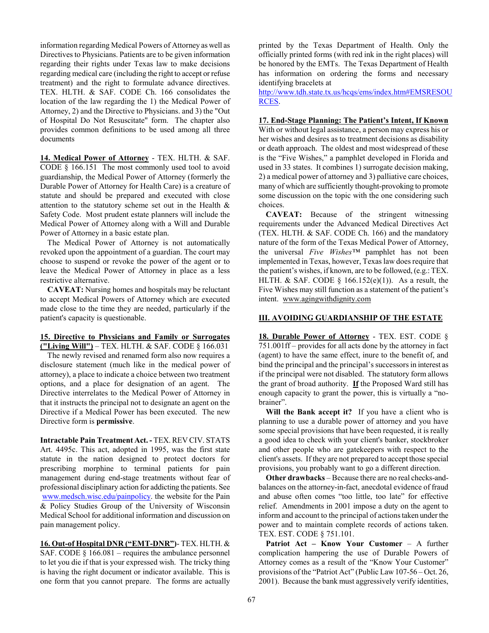information regarding Medical Powers of Attorney as well as Directives to Physicians. Patients are to be given information regarding their rights under Texas law to make decisions regarding medical care (including the right to accept or refuse treatment) and the right to formulate advance directives. TEX. HLTH. & SAF. CODE Ch. 166 consolidates the location of the law regarding the 1) the Medical Power of Attorney, 2) and the Directive to Physicians. and 3) the "Out of Hospital Do Not Resuscitate" form. The chapter also provides common definitions to be used among all three documents

**14. Medical Power of Attorney** - TEX. HLTH. & SAF. CODE § 166.151 The most commonly used tool to avoid guardianship, the Medical Power of Attorney (formerly the Durable Power of Attorney for Health Care) is a creature of statute and should be prepared and executed with close attention to the statutory scheme set out in the Health & Safety Code. Most prudent estate planners will include the Medical Power of Attorney along with a Will and Durable Power of Attorney in a basic estate plan.

The Medical Power of Attorney is not automatically revoked upon the appointment of a guardian. The court may choose to suspend or revoke the power of the agent or to leave the Medical Power of Attorney in place as a less restrictive alternative.

**CAVEAT:** Nursing homes and hospitals may be reluctant to accept Medical Powers of Attorney which are executed made close to the time they are needed, particularly if the patient's capacity is questionable.

### **15. Directive to Physicians and Family or Surrogates ("Living Will")** – TEX. HLTH. & SAF. CODE § 166.031

The newly revised and renamed form also now requires a disclosure statement (much like in the medical power of attorney), a place to indicate a choice between two treatment options, and a place for designation of an agent. The Directive interrelates to the Medical Power of Attorney in that it instructs the principal not to designate an agent on the Directive if a Medical Power has been executed. The new Directive form is **permissive**.

**Intractable Pain Treatment Act. -** TEX. REV CIV. STATS Art. 4495c. This act, adopted in 1995, was the first state statute in the nation designed to protect doctors for prescribing morphine to terminal patients for pain management during end-stage treatments without fear of professional disciplinary action for addicting the patients. See www.medsch.wisc.edu/painpolicy. the website for the Pain & Policy Studies Group of the University of Wisconsin Medical School for additional information and discussion on pain management policy.

**16. Out-of Hospital DNR ("EMT-DNR")**- TEX. HLTH. & SAF. CODE  $\S$  166.081 – requires the ambulance personnel to let you die if that is your expressed wish. The tricky thing is having the right document or indicator available. This is one form that you cannot prepare. The forms are actually printed by the Texas Department of Health. Only the officially printed forms (with red ink in the right places) will be honored by the EMTs. The Texas Department of Health has information on ordering the forms and necessary identifying bracelets at

http://www.tdh.state.tx.us/hcqs/ems/index.htm#EMSRESOU RCES.

## **17. End-Stage Planning: The Patient's Intent, If Known**

With or without legal assistance, a person may express his or her wishes and desires as to treatment decisions as disability or death approach. The oldest and most widespread of these is the "Five Wishes," a pamphlet developed in Florida and used in 33 states. It combines 1) surrogate decision making, 2) a medical power of attorney and 3) palliative care choices, many of which are sufficiently thought-provoking to promote some discussion on the topic with the one considering such choices.

**CAVEAT:** Because of the stringent witnessing requirements under the Advanced Medical Directives Act (TEX. HLTH. & SAF. CODE Ch. 166) and the mandatory nature of the form of the Texas Medical Power of Attorney, the universal *Five Wishes™* pamphlet has not been implemented in Texas, however, Texas law does require that the patient's wishes, if known, are to be followed, (e.g.: TEX. HLTH. & SAF. CODE  $\S$  166.152(e)(1)). As a result, the Five Wishes may still function as a statement of the patient's intent. www.agingwithdignity.com

## **III. AVOIDING GUARDIANSHIP OF THE ESTATE**

**18. Durable Power of Attorney** - TEX. EST. CODE § 751.001ff – provides for all acts done by the attorney in fact (agent) to have the same effect, inure to the benefit of, and bind the principal and the principal's successors in interest as if the principal were not disabled. The statutory form allows the grant of broad authority. **If** the Proposed Ward still has enough capacity to grant the power, this is virtually a "nobrainer".

**Will the Bank accept it?** If you have a client who is planning to use a durable power of attorney and you have some special provisions that have been requested, it is really a good idea to check with your client's banker, stockbroker and other people who are gatekeepers with respect to the client's assets. If they are not prepared to accept those special provisions, you probably want to go a different direction.

**Other drawbacks** – Because there are no real checks-andbalances on the attorney-in-fact, anecdotal evidence of fraud and abuse often comes "too little, too late" for effective relief. Amendments in 2001 impose a duty on the agent to inform and account to the principal of actions taken under the power and to maintain complete records of actions taken. TEX. EST. CODE § 751.101.

**Patriot Act – Know Your Customer** – A further complication hampering the use of Durable Powers of Attorney comes as a result of the "Know Your Customer" provisions of the "Patriot Act" (Public Law 107-56 – Oct. 26, 2001). Because the bank must aggressively verify identities,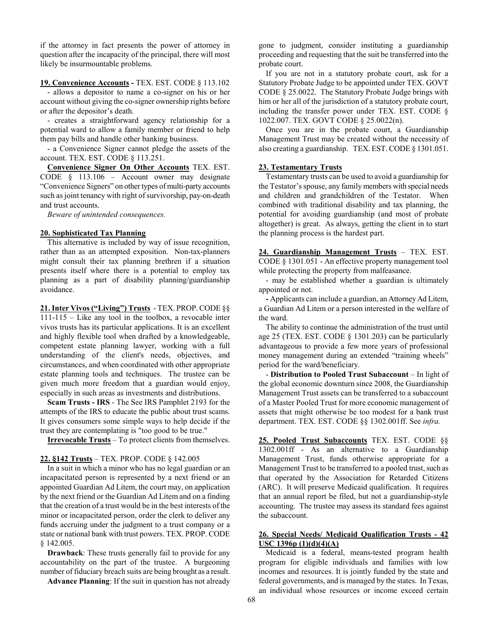if the attorney in fact presents the power of attorney in question after the incapacity of the principal, there will most likely be insurmountable problems.

#### **19. Convenience Accounts -** TEX. EST. CODE § 113.102

- allows a depositor to name a co-signer on his or her account without giving the co-signer ownership rights before or after the depositor's death.

- creates a straightforward agency relationship for a potential ward to allow a family member or friend to help them pay bills and handle other banking business.

- a Convenience Signer cannot pledge the assets of the account. TEX. EST. CODE § 113.251.

**Convenience Signer On Other Accounts** TEX. EST. CODE § 113.106 – Account owner may designate "Convenience Signers" on other types of multi-party accounts such as joint tenancy with right of survivorship, pay-on-death and trust accounts.

*Beware of unintended consequences.* 

### **20. Sophisticated Tax Planning**

This alternative is included by way of issue recognition, rather than as an attempted exposition. Non-tax-planners might consult their tax planning brethren if a situation presents itself where there is a potential to employ tax planning as a part of disability planning/guardianship avoidance.

**21. Inter Vivos ("Living") Trusts** - TEX. PROP. CODE §§ 111-115 – Like any tool in the toolbox, a revocable inter vivos trusts has its particular applications. It is an excellent and highly flexible tool when drafted by a knowledgeable, competent estate planning lawyer, working with a full understanding of the client's needs, objectives, and circumstances, and when coordinated with other appropriate estate planning tools and techniques. The trustee can be given much more freedom that a guardian would enjoy, especially in such areas as investments and distributions.

**Scam Trusts - IRS** - The See IRS Pamphlet 2193 for the attempts of the IRS to educate the public about trust scams. It gives consumers some simple ways to help decide if the trust they are contemplating is "too good to be true."

**Irrevocable Trusts** – To protect clients from themselves.

# **22. §142 Trusts** – TEX. PROP. CODE § 142.005

In a suit in which a minor who has no legal guardian or an incapacitated person is represented by a next friend or an appointed Guardian Ad Litem, the court may, on application by the next friend or the Guardian Ad Litem and on a finding that the creation of a trust would be in the best interests of the minor or incapacitated person, order the clerk to deliver any funds accruing under the judgment to a trust company or a state or national bank with trust powers. TEX. PROP. CODE § 142.005.

**Drawback**: These trusts generally fail to provide for any accountability on the part of the trustee. A burgeoning number of fiduciary breach suits are being brought as a result.

**Advance Planning**: If the suit in question has not already

gone to judgment, consider instituting a guardianship proceeding and requesting that the suit be transferred into the probate court.

If you are not in a statutory probate court, ask for a Statutory Probate Judge to be appointed under TEX. GOVT CODE § 25.0022. The Statutory Probate Judge brings with him or her all of the jurisdiction of a statutory probate court, including the transfer power under TEX. EST. CODE § 1022.007. TEX. GOVT CODE § 25.0022(n).

Once you are in the probate court, a Guardianship Management Trust may be created without the necessity of also creating a guardianship. TEX. EST. CODE § 1301.051.

### **23. Testamentary Trusts**

Testamentary trusts can be used to avoid a guardianship for the Testator's spouse, any family members with special needs and children and grandchildren of the Testator. When combined with traditional disability and tax planning, the potential for avoiding guardianship (and most of probate altogether) is great. As always, getting the client in to start the planning process is the hardest part.

**24. Guardianship Management Trusts** – TEX. EST. CODE § 1301.051 - An effective property management tool while protecting the property from malfeasance.

- may be established whether a guardian is ultimately appointed or not.

**-** Applicants can include a guardian, an Attorney Ad Litem, a Guardian Ad Litem or a person interested in the welfare of the ward.

The ability to continue the administration of the trust until age 25 (TEX. EST. CODE § 1301.203) can be particularly advantageous to provide a few more years of professional money management during an extended "training wheels" period for the ward/beneficiary.

- **Distribution to Pooled Trust Subaccount** – In light of the global economic downturn since 2008, the Guardianship Management Trust assets can be transferred to a subaccount of a Master Pooled Trust for more economic management of assets that might otherwise be too modest for a bank trust department. TEX. EST. CODE §§ 1302.001ff. See *infra.*

**25. Pooled Trust Subaccounts** TEX. EST. CODE §§ 1302.001ff - As an alternative to a Guardianship Management Trust, funds otherwise appropriate for a Management Trust to be transferred to a pooled trust, such as that operated by the Association for Retarded Citizens (ARC). It will preserve Medicaid qualification. It requires that an annual report be filed, but not a guardianship-style accounting. The trustee may assess its standard fees against the subaccount.

## **26. Special Needs/ Medicaid Qualification Trusts - 42 USC 1396p (1)(d)(4)(A)**

Medicaid is a federal, means-tested program health program for eligible individuals and families with low incomes and resources. It is jointly funded by the state and federal governments, and is managed by the states. In Texas, an individual whose resources or income exceed certain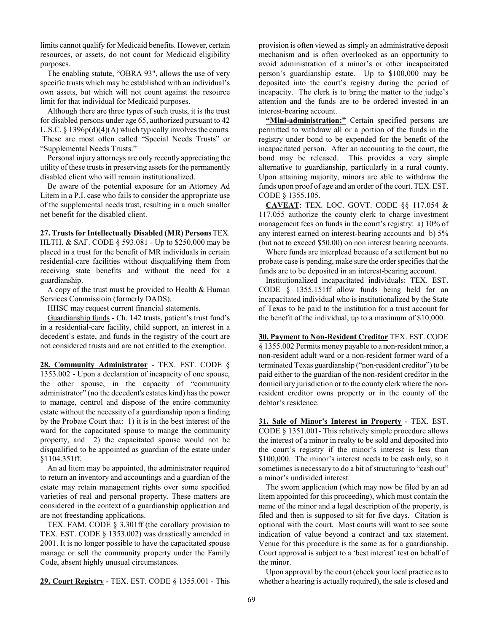limits cannot qualify for Medicaid benefits. However, certain resources, or assets, do not count for Medicaid eligibility purposes.

The enabling statute, "OBRA 93", allows the use of very specific trusts which may be established with an individual's own assets, but which will not count against the resource limit for that individual for Medicaid purposes.

Although there are three types of such trusts, it is the trust for disabled persons under age 65, authorized pursuant to 42 U.S.C.  $\S$  1396p(d)(4)(A) which typically involves the courts. These are most often called "Special Needs Trusts" or "Supplemental Needs Trusts."

Personal injury attorneys are only recently appreciating the utility of these trusts in preserving assets for the permanently disabled client who will remain institutionalized.

Be aware of the potential exposure for an Attorney Ad Litem in a P.I. case who fails to consider the appropriate use of the supplemental needs trust, resulting in a much smaller net benefit for the disabled client.

## **27. Trusts for Intellectually Disabled (MR) Persons** TEX.

HLTH. & SAF. CODE § 593.081 - Up to \$250,000 may be placed in a trust for the benefit of MR individuals in certain residential-care facilities without disqualifying them from receiving state benefits and without the need for a guardianship.

A copy of the trust must be provided to Health  $&$  Human Services Commissioin (formerly DADS).

HHSC may request current financial statements.

Guardianship funds - Ch. 142 trusts, patient's trust fund's in a residential-care facility, child support, an interest in a decedent's estate, and funds in the registry of the court are not considered trusts and are not entitled to the exemption.

**28. Community Administrator** - TEX. EST. CODE § 1353.002 - Upon a declaration of incapacity of one spouse, the other spouse, in the capacity of "community administrator" (no the decedent's estates kind) has the power to manage, control and dispose of the entire community estate without the necessity of a guardianship upon a finding by the Probate Court that: 1) it is in the best interest of the ward for the capacitated spouse to mange the community property, and 2) the capacitated spouse would not be disqualified to be appointed as guardian of the estate under §1104.351ff.

An ad litem may be appointed, the administrator required to return an inventory and accountings and a guardian of the estate may retain management rights over some specified varieties of real and personal property. These matters are considered in the context of a guardianship application and are not freestanding applications.

TEX. FAM. CODE § 3.301ff (the corollary provision to TEX. EST. CODE § 1353.002) was drastically amended in 2001. It is no longer possible to have the capacitated spouse manage or sell the community property under the Family Code, absent highly unusual circumstances.

**29. Court Registry** - TEX. EST. CODE § 1355.001 - This

provision is often viewed as simply an administrative deposit mechanism and is often overlooked as an opportunity to avoid administration of a minor's or other incapacitated person's guardianship estate. Up to \$100,000 may be deposited into the court's registry during the period of incapacity. The clerk is to bring the matter to the judge's attention and the funds are to be ordered invested in an interest-bearing account.

**"Mini-administration:"** Certain specified persons are permitted to withdraw all or a portion of the funds in the registry under bond to be expended for the benefit of the incapacitated person. After an accounting to the court, the bond may be released. This provides a very simple alternative to guardianship, particularly in a rural county. Upon attaining majority, minors are able to withdraw the funds upon proof of age and an order of the court. TEX. EST. CODE § 1355.105.

**CAVEAT**: TEX. LOC. GOVT. CODE §§ 117.054 & 117.055 authorize the county clerk to charge investment management fees on funds in the court's registry: a) 10% of any interest earned on interest-bearing accounts and b) 5% (but not to exceed \$50.00) on non interest bearing accounts.

Where funds are interplead because of a settlement but no probate case is pending, make sure the order specifies that the funds are to be deposited in an interest-bearing account.

Institutionalized incapacitated individuals: TEX. EST. CODE § 1355.151ff allow funds being held for an incapacitated individual who is institutionalized by the State of Texas to be paid to the institution for a trust account for the benefit of the individual, up to a maximum of \$10,000.

**30. Payment to Non-Resident Creditor** TEX. EST. CODE § 1355.002 Permits money payable to a non-resident minor, a non-resident adult ward or a non-resident former ward of a terminated Texas guardianship ("non-resident creditor") to be paid either to the guardian of the non-resident creditor in the domiciliary jurisdiction or to the county clerk where the nonresident creditor owns property or in the county of the debtor's residence.

**31. Sale of Minor's Interest in Property** - TEX. EST. CODE § 1351.001- This relatively simple procedure allows the interest of a minor in realty to be sold and deposited into the court's registry if the minor's interest is less than \$100,000. The minor's interest needs to be cash only, so it sometimes is necessary to do a bit of structuring to "cash out" a minor's undivided interest.

The sworn application (which may now be filed by an ad litem appointed for this proceeding), which must contain the name of the minor and a legal description of the property, is filed and then is supposed to sit for five days. Citation is optional with the court. Most courts will want to see some indication of value beyond a contract and tax statement. Venue for this procedure is the same as for a guardianship. Court approval is subject to a 'best interest' test on behalf of the minor.

Upon approval by the court (check your local practice as to whether a hearing is actually required), the sale is closed and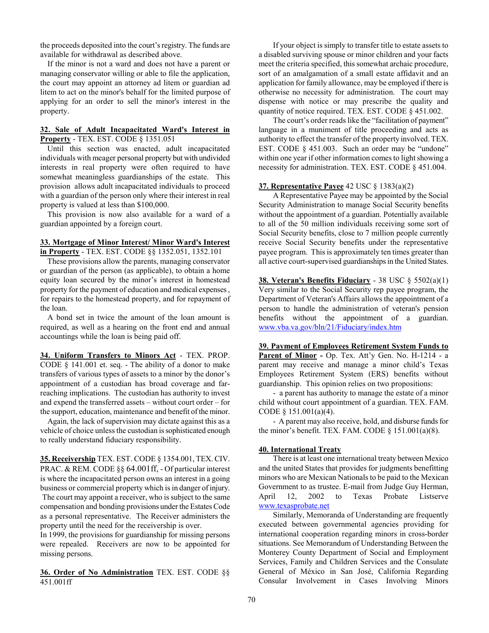the proceeds deposited into the court's registry. The funds are available for withdrawal as described above.

If the minor is not a ward and does not have a parent or managing conservator willing or able to file the application, the court may appoint an attorney ad litem or guardian ad litem to act on the minor's behalf for the limited purpose of applying for an order to sell the minor's interest in the property.

#### **32. Sale of Adult Incapacitated Ward's Interest in Property** - TEX. EST. CODE § 1351.051

Until this section was enacted, adult incapacitated individuals with meager personal property but with undivided interests in real property were often required to have somewhat meaningless guardianships of the estate. This provision allows adult incapacitated individuals to proceed with a guardian of the person only where their interest in real property is valued at less than \$100,000.

This provision is now also available for a ward of a guardian appointed by a foreign court.

### **33. Mortgage of Minor Interest/ Minor Ward's Interest in Property** - TEX. EST. CODE §§ 1352.051, 1352.101

These provisions allow the parents, managing conservator or guardian of the person (as applicable), to obtain a home equity loan secured by the minor's interest in homestead property for the payment of education and medical expenses , for repairs to the homestead property, and for repayment of the loan.

A bond set in twice the amount of the loan amount is required, as well as a hearing on the front end and annual accountings while the loan is being paid off.

**34. Uniform Transfers to Minors Act** - TEX. PROP. CODE § 141.001 et. seq. - The ability of a donor to make transfers of various types of assets to a minor by the donor's appointment of a custodian has broad coverage and farreaching implications. The custodian has authority to invest and expend the transferred assets – without court order – for the support, education, maintenance and benefit of the minor.

Again, the lack of supervision may dictate against this as a vehicle of choice unless the custodian is sophisticated enough to really understand fiduciary responsibility.

**35. Receivership** TEX. EST. CODE § 1354.001, TEX. CIV. PRAC. & REM. CODE §§ 64.001ff, - Of particular interest is where the incapacitated person owns an interest in a going business or commercial property which is in danger of injury.

 The court may appoint a receiver, who is subject to the same compensation and bonding provisions under the Estates Code as a personal representative. The Receiver administers the property until the need for the receivership is over.

In 1999, the provisions for guardianship for missing persons were repealed. Receivers are now to be appointed for missing persons.

**36. Order of No Administration** TEX. EST. CODE §§ 451.001ff

If your object is simply to transfer title to estate assets to a disabled surviving spouse or minor children and your facts meet the criteria specified, this somewhat archaic procedure, sort of an amalgamation of a small estate affidavit and an application for family allowance, may be employed if there is otherwise no necessity for administration. The court may dispense with notice or may prescribe the quality and quantity of notice required. TEX. EST. CODE § 451.002.

The court's order reads like the "facilitation of payment" language in a muniment of title proceeding and acts as authority to effect the transfer of the property involved. TEX. EST. CODE § 451.003. Such an order may be "undone" within one year if other information comes to light showing a necessity for administration. TEX. EST. CODE § 451.004.

# **37. Representative Payee** 42 USC § 1383(a)(2)

A Representative Payee may be appointed by the Social Security Administration to manage Social Security benefits without the appointment of a guardian. Potentially available to all of the 50 million individuals receiving some sort of Social Security benefits, close to 7 million people currently receive Social Security benefits under the representative payee program. This is approximately ten times greater than all active court-supervised guardianships in the United States.

**38. Veteran's Benefits Fiduciary** - 38 USC § 5502(a)(1) Very similar to the Social Security rep payee program, the Department of Veteran's Affairs allows the appointment of a person to handle the administration of veteran's pension benefits without the appointment of a guardian. www.vba.va.gov/bln/21/Fiduciary/index.htm

**39. Payment of Employees Retirement System Funds to** Parent of Minor - Op. Tex. Att'y Gen. No. H-1214 - a parent may receive and manage a minor child's Texas Employees Retirement System (ERS) benefits without guardianship. This opinion relies on two propositions:

- a parent has authority to manage the estate of a minor child without court appointment of a guardian. TEX. FAM. CODE § 151.001(a)(4).

- A parent may also receive, hold, and disburse funds for the minor's benefit. TEX. FAM. CODE  $\S$  151.001(a)(8).

# **40. International Treaty**

There is at least one international treaty between Mexico and the united States that provides for judgments benefitting minors who are Mexican Nationals to be paid to the Mexican Government to as trustee. E-mail from Judge Guy Herman, April 12, 2002 to Texas Probate Listserve www.texasprobate.net

Similarly, Memoranda of Understanding are frequently executed between governmental agencies providing for international cooperation regarding minors in cross-border situations. See Memorandum of Understanding Between the Monterey County Department of Social and Employment Services, Family and Children Services and the Consulate General of México in San José, California Regarding Consular Involvement in Cases Involving Minors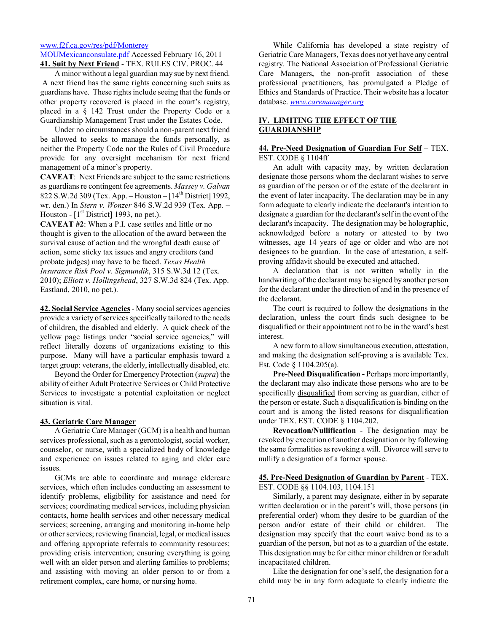www.f2f.ca.gov/res/pdf/Monterey MOUMexicanconsulate.pdf Accessed February 16, 2011 **41. Suit by Next Friend** - TEX. RULES CIV. PROC. 44

A minor without a legal guardian may sue by next friend. A next friend has the same rights concerning such suits as guardians have. These rights include seeing that the funds or other property recovered is placed in the court's registry, placed in a § 142 Trust under the Property Code or a Guardianship Management Trust under the Estates Code.

Under no circumstances should a non-parent next friend be allowed to seeks to manage the funds personally, as neither the Property Code nor the Rules of Civil Procedure provide for any oversight mechanism for next friend management of a minor's property.

**CAVEAT**: Next Friends are subject to the same restrictions as guardians re contingent fee agreements. *Massey v. Galvan* 822 S.W.2d 309 (Tex. App. – Houston –  $[14^{th}$  District] 1992, wr. den.) In *Stern v. Wonzer* 846 S.W.2d 939 (Tex. App. – Houston -  $[1<sup>st</sup> District]$  1993, no pet.).

**CAVEAT #2**: When a P.I. case settles and little or no thought is given to the allocation of the award between the survival cause of action and the wrongful death cause of action, some sticky tax issues and angry creditors (and probate judges) may have to be faced. *Texas Health Insurance Risk Pool v. Sigmundik*, 315 S.W.3d 12 (Tex. 2010); *Elliott v. Hollingshead*, 327 S.W.3d 824 (Tex. App. Eastland, 2010, no pet.).

**42. Social Service Agencies** - Many social services agencies provide a variety of services specifically tailored to the needs of children, the disabled and elderly. A quick check of the yellow page listings under "social service agencies," will reflect literally dozens of organizations existing to this purpose. Many will have a particular emphasis toward a target group: veterans, the elderly, intellectually disabled, etc.

Beyond the Order for Emergency Protection (*supra*) the ability of either Adult Protective Services or Child Protective Services to investigate a potential exploitation or neglect situation is vital.

### **43. Geriatric Care Manager**

A Geriatric Care Manager (GCM) is a health and human services professional, such as a gerontologist, social worker, counselor, or nurse, with a specialized body of knowledge and experience on issues related to aging and elder care issues.

GCMs are able to coordinate and manage eldercare services, which often includes conducting an assessment to identify problems, eligibility for assistance and need for services; coordinating medical services, including physician contacts, home health services and other necessary medical services; screening, arranging and monitoring in-home help or other services; reviewing financial, legal, or medical issues and offering appropriate referrals to community resources; providing crisis intervention; ensuring everything is going well with an elder person and alerting families to problems; and assisting with moving an older person to or from a retirement complex, care home, or nursing home.

While California has developed a state registry of Geriatric Care Managers, Texas does not yet have any central registry. The National Association of Professional Geriatric Care Managers**,** the non-profit association of these professional practitioners, has promulgated a Pledge of Ethics and Standards of Practice. Their website has a locator database. *www.caremanager.org*

# **IV. LIMITING THE EFFECT OF THE GUARDIANSHIP**

### **44. Pre-Need Designation of Guardian For Self** – TEX. EST. CODE § 1104ff

An adult with capacity may, by written declaration designate those persons whom the declarant wishes to serve as guardian of the person or of the estate of the declarant in the event of later incapacity. The declaration may be in any form adequate to clearly indicate the declarant's intention to designate a guardian for the declarant's self in the event of the declarant's incapacity. The designation may be holographic, acknowledged before a notary or attested to by two witnesses, age 14 years of age or older and who are not designees to be guardian. In the case of attestation, a selfproving affidavit should be executed and attached.

A declaration that is not written wholly in the handwriting of the declarant may be signed by another person for the declarant under the direction of and in the presence of the declarant.

The court is required to follow the designations in the declaration, unless the court finds such designee to be disqualified or their appointment not to be in the ward's best interest.

A new form to allow simultaneous execution, attestation, and making the designation self-proving a is available Tex. Est. Code § 1104.205(a).

**Pre-Need Disqualification -** Perhaps more importantly, the declarant may also indicate those persons who are to be specifically disqualified from serving as guardian, either of the person or estate. Such a disqualification is binding on the court and is among the listed reasons for disqualification under TEX. EST. CODE § 1104.202.

**Revocation/Nullification** - The designation may be revoked by execution of another designation or by following the same formalities as revoking a will. Divorce will serve to nullify a designation of a former spouse.

#### **45. Pre-Need Designation of Guardian by Parent** - TEX. EST. CODE §§ 1104.103, 1104.151

Similarly, a parent may designate, either in by separate written declaration or in the parent's will, those persons (in preferential order) whom they desire to be guardian of the person and/or estate of their child or children. The designation may specify that the court waive bond as to a guardian of the person, but not as to a guardian of the estate. This designation may be for either minor children or for adult incapacitated children.

Like the designation for one's self, the designation for a child may be in any form adequate to clearly indicate the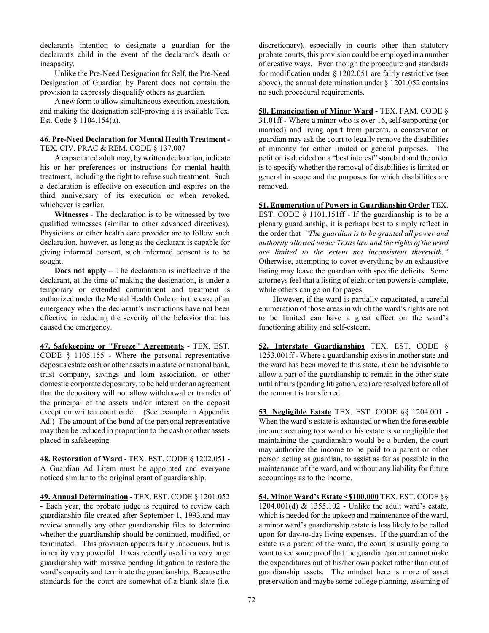declarant's intention to designate a guardian for the declarant's child in the event of the declarant's death or incapacity.

Unlike the Pre-Need Designation for Self, the Pre-Need Designation of Guardian by Parent does not contain the provision to expressly disqualify others as guardian.

A new form to allow simultaneous execution, attestation, and making the designation self-proving a is available Tex. Est. Code § 1104.154(a).

#### **46. Pre-Need Declaration for Mental Health Treatment -**  TEX. CIV. PRAC & REM. CODE § 137.007

A capacitated adult may, by written declaration, indicate his or her preferences or instructions for mental health treatment, including the right to refuse such treatment. Such a declaration is effective on execution and expires on the third anniversary of its execution or when revoked, whichever is earlier.

**Witnesses** - The declaration is to be witnessed by two qualified witnesses (similar to other advanced directives). Physicians or other health care provider are to follow such declaration, however, as long as the declarant is capable for giving informed consent, such informed consent is to be sought.

**Does not apply –** The declaration is ineffective if the declarant, at the time of making the designation, is under a temporary or extended commitment and treatment is authorized under the Mental Health Code or in the case of an emergency when the declarant's instructions have not been effective in reducing the severity of the behavior that has caused the emergency.

**47. Safekeeping or "Freeze" Agreements** - TEX. EST. CODE § 1105.155 - Where the personal representative deposits estate cash or other assets in a state or national bank, trust company, savings and loan association, or other domestic corporate depository, to be held under an agreement that the depository will not allow withdrawal or transfer of the principal of the assets and/or interest on the deposit except on written court order. (See example in Appendix Ad.) The amount of the bond of the personal representative may then be reduced in proportion to the cash or other assets placed in safekeeping.

**48. Restoration of Ward** - TEX. EST. CODE § 1202.051 - A Guardian Ad Litem must be appointed and everyone noticed similar to the original grant of guardianship.

**49. Annual Determination** - TEX. EST. CODE § 1201.052 - Each year, the probate judge is required to review each guardianship file created after September 1, 1993,and may review annually any other guardianship files to determine whether the guardianship should be continued, modified, or terminated. This provision appears fairly innocuous, but is in reality very powerful. It was recently used in a very large guardianship with massive pending litigation to restore the ward's capacity and terminate the guardianship. Because the standards for the court are somewhat of a blank slate (i.e.

discretionary), especially in courts other than statutory probate courts, this provision could be employed in a number of creative ways. Even though the procedure and standards for modification under § 1202.051 are fairly restrictive (see above), the annual determination under  $\S$  1201.052 contains no such procedural requirements.

**50. Emancipation of Minor Ward** - TEX. FAM. CODE § 31.01ff - Where a minor who is over 16, self-supporting (or married) and living apart from parents, a conservator or guardian may ask the court to legally remove the disabilities of minority for either limited or general purposes. The petition is decided on a "best interest" standard and the order is to specify whether the removal of disabilities is limited or general in scope and the purposes for which disabilities are removed.

**51. Enumeration of Powers in Guardianship Order** TEX. EST. CODE § 1101.151ff - If the guardianship is to be a plenary guardianship, it is perhaps best to simply reflect in the order that *"The guardian is to be granted all power and authority allowed under Texas law and the rights of the ward are limited to the extent not inconsistent therewith."*  Otherwise, attempting to cover everything by an exhaustive listing may leave the guardian with specific deficits. Some attorneys feel that a listing of eight or ten powers is complete, while others can go on for pages.

However, if the ward is partially capacitated, a careful enumeration of those areas in which the ward's rights are not to be limited can have a great effect on the ward's functioning ability and self-esteem.

**52. Interstate Guardianships** TEX. EST. CODE § 1253.001ff - Where a guardianship exists in another state and the ward has been moved to this state, it can be advisable to allow a part of the guardianship to remain in the other state until affairs (pending litigation, etc) are resolved before all of the remnant is transferred.

**53**. **Negligible Estate** TEX. EST. CODE §§ 1204.001 - When the ward's estate is exhausted or **w**hen the foreseeable income accruing to a ward or his estate is so negligible that maintaining the guardianship would be a burden, the court may authorize the income to be paid to a parent or other person acting as guardian, to assist as far as possible in the maintenance of the ward, and without any liability for future accountings as to the income.

**54. Minor Ward's Estate <\$100,000** TEX. EST. CODE §§ 1204.001(d) & 1355.102 - Unlike the adult ward's estate, which is needed for the upkeep and maintenance of the ward, a minor ward's guardianship estate is less likely to be called upon for day-to-day living expenses. If the guardian of the estate is a parent of the ward, the court is usually going to want to see some proof that the guardian/parent cannot make the expenditures out of his/her own pocket rather than out of guardianship assets. The mindset here is more of asset preservation and maybe some college planning, assuming of